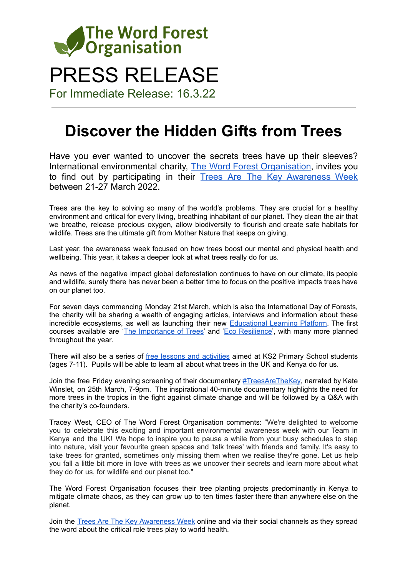

# PRESS RELEASE

For Immediate Release: 16.3.22

# **Discover the Hidden Gifts from Trees**

Have you ever wanted to uncover the secrets trees have up their sleeves? International environmental charity, The Word Forest [Organisation](https://www.wordforest.org/), invites you to find out by participating in their Trees Are The Key [Awareness](https://www.wordforest.org/week/) Week between 21-27 March 2022.

Trees are the key to solving so many of the world's problems. They are crucial for a healthy environment and critical for every living, breathing inhabitant of our planet. They clean the air that we breathe, release precious oxygen, allow biodiversity to flourish and create safe habitats for wildlife. Trees are the ultimate gift from Mother Nature that keeps on giving.

Last year, the awareness week focused on how trees boost our mental and physical health and wellbeing. This year, it takes a deeper look at what trees really do for us.

As news of the negative impact global deforestation continues to have on our climate, its people and wildlife, surely there has never been a better time to focus on the positive impacts trees have on our planet too.

For seven days commencing Monday 21st March, which is also the International Day of Forests, the charity will be sharing a wealth of engaging articles, interviews and information about these incredible ecosystems, as well as launching their new **[Educational](https://wordforest.teachable.com/) Learning Platform**. The first courses available are 'The [Importance](https://wordforest.teachable.com/p/importance_of_trees) of Trees' and 'Eco [Resilience'](https://wordforest.teachable.com/p/eco-resilience), with many more planned throughout the year.

There will also be a series of free lessons and [activities](https://www.wordforest.org/learn/edupack-primary/) aimed at KS2 Primary School students (ages 7-11). Pupils will be able to learn all about what trees in the UK and Kenya do for us.

Join the free Friday evening screening of their documentary [#TreesAreTheKey](https://www.facebook.com/events/418557513368814), narrated by Kate Winslet, on 25th March, 7-9pm. The inspirational 40-minute documentary highlights the need for more trees in the tropics in the fight against climate change and will be followed by a Q&A with the charity's co-founders.

Tracey West, CEO of The Word Forest Organisation comments: "We're delighted to welcome you to celebrate this exciting and important environmental awareness week with our Team in Kenya and the UK! We hope to inspire you to pause a while from your busy schedules to step into nature, visit your favourite green spaces and 'talk trees' with friends and family. It's easy to take trees for granted, sometimes only missing them when we realise they're gone. Let us help you fall a little bit more in love with trees as we uncover their secrets and learn more about what they do for us, for wildlife and our planet too."

The Word Forest Organisation focuses their tree planting projects predominantly in Kenya to mitigate climate chaos, as they can grow up to ten times faster there than anywhere else on the planet.

Join the Trees Are The Key [Awareness](https://www.wordforest.org/week/) Week online and via their social channels as they spread the word about the critical role trees play to world health.